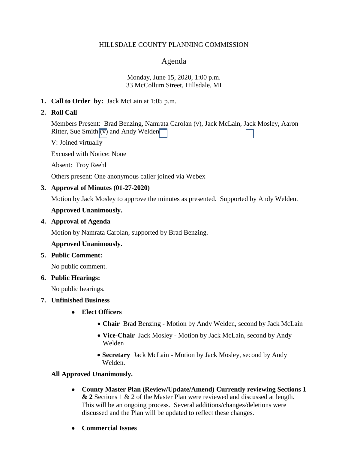### HILLSDALE COUNTY PLANNING COMMISSION

# Agenda

### Monday, June 15, 2020, 1:00 p.m. 33 McCollum Street, Hillsdale, MI

# **1. Call to Order by:** Jack McLain at 1:05 p.m.

# **2. Roll Call**

Members Present: Brad Benzing, Namrata Carolan (v), Jack McLain, Jack Mosley, Aaron Ritter, Sue Smith  $\overline{(\overline{v})}$  and Andy Welden

V: Joined virtually

Excused with Notice: None

Absent: Troy Reehl

Others present: One anonymous caller joined via Webex

# **3. Approval of Minutes (01-27-2020)**

Motion by Jack Mosley to approve the minutes as presented. Supported by Andy Welden.

# **Approved Unanimously.**

# **4. Approval of Agenda**

Motion by Namrata Carolan, supported by Brad Benzing.

# **Approved Unanimously.**

# **5. Public Comment:**

No public comment.

# **6. Public Hearings:**

No public hearings.

# **7. Unfinished Business**

- **Elect Officers**
	- **Chair** Brad Benzing Motion by Andy Welden, second by Jack McLain
	- **Vice-Chair** Jack Mosley Motion by Jack McLain, second by Andy Welden
	- **Secretary** Jack McLain Motion by Jack Mosley, second by Andy Welden.

# **All Approved Unanimously.**

- **County Master Plan (Review/Update/Amend) Currently reviewing Sections 1 & 2** Sections 1 & 2 of the Master Plan were reviewed and discussed at length. This will be an ongoing process. Several additions/changes/deletions were discussed and the Plan will be updated to reflect these changes.
- **Commercial Issues**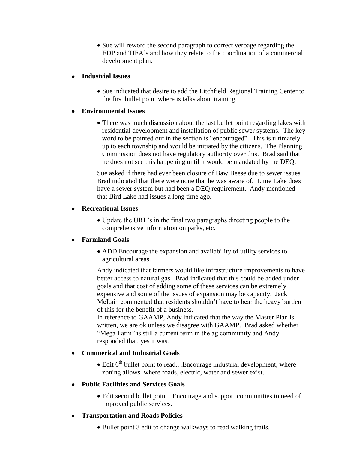• Sue will reword the second paragraph to correct verbage regarding the EDP and TIFA's and how they relate to the coordination of a commercial development plan.

# **Industrial Issues**

• Sue indicated that desire to add the Litchfield Regional Training Center to the first bullet point where is talks about training.

# **Environmental Issues**

• There was much discussion about the last bullet point regarding lakes with residential development and installation of public sewer systems. The key word to be pointed out in the section is "encouraged". This is ultimately up to each township and would be initiated by the citizens. The Planning Commission does not have regulatory authority over this. Brad said that he does not see this happening until it would be mandated by the DEQ.

Sue asked if there had ever been closure of Baw Beese due to sewer issues. Brad indicated that there were none that he was aware of. Lime Lake does have a sewer system but had been a DEQ requirement. Andy mentioned that Bird Lake had issues a long time ago.

# **Recreational Issues**

 Update the URL's in the final two paragraphs directing people to the comprehensive information on parks, etc.

# **Farmland Goals**

 ADD Encourage the expansion and availability of utility services to agricultural areas.

Andy indicated that farmers would like infrastructure improvements to have better access to natural gas. Brad indicated that this could be added under goals and that cost of adding some of these services can be extremely expensive and some of the issues of expansion may be capacity. Jack McLain commented that residents shouldn't have to bear the heavy burden of this for the benefit of a business.

In reference to GAAMP, Andy indicated that the way the Master Plan is written, we are ok unless we disagree with GAAMP. Brad asked whether "Mega Farm" is still a current term in the ag community and Andy responded that, yes it was.

# **Commerical and Industrial Goals**

 $\bullet$  Edit  $6<sup>th</sup>$  bullet point to read... Encourage industrial development, where zoning allows where roads, electric, water and sewer exist.

# **Public Facilities and Services Goals**

 Edit second bullet point. Encourage and support communities in need of improved public services.

# **Transportation and Roads Policies**

• Bullet point 3 edit to change walkways to read walking trails.